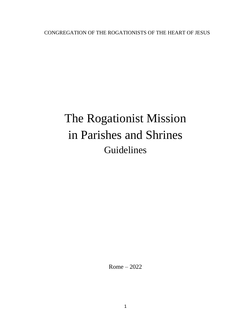CONGREGATION OF THE ROGATIONISTS OF THE HEART OF JESUS

# The Rogationist Mission in Parishes and Shrines Guidelines

Rome – 2022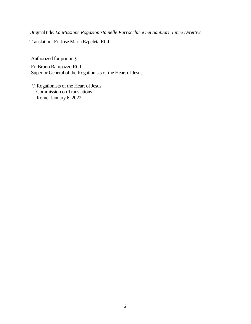Original title: *La Missione Rogazionista nelle Parrocchie e nei Santuari. Linee Direttive*

Translation: Fr. Jose Maria Ezpeleta RCJ

Authorized for printing:

Fr. Bruno Rampazzo RCJ Superior General of the Rogationists of the Heart of Jesus

© Rogationists of the Heart of Jesus Commission on Translations Rome, January 6, 2022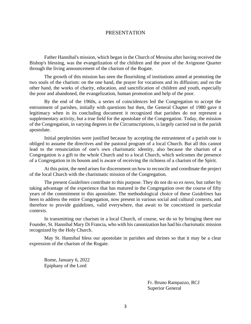#### PRESENTATION

Father Hannibal's mission, which began in the Church of Messina after having received the Bishop's blessing, was the evangelization of the children and the poor of the Avignone Quarter through the living announcement of the charism of the Rogate.

The growth of this mission has seen the flourishing of institutions aimed at promoting the two souls of the charism: on the one hand, the prayer for vocations and its diffusion; and on the other hand, the works of charity, education, and sanctification of children and youth, especially the poor and abandoned, the evangelization, human promotion and help of the poor.

By the end of the 1960s, a series of coincidences led the Congregation to accept the entrustment of parishes, initially with questions but then, the General Chapter of 1980 gave it legitimacy when in its concluding document it recognized that parishes do not represent a supplementary activity, but a true field for the apostolate of the Congregation. Today, the mission of the Congregation, in varying degrees in the Circumscriptions, is largely carried out in the parish apostolate.

Initial perplexities were justified because by accepting the entrustment of a parish one is obliged to assume the directives and the pastoral program of a local Church. But all this cannot lead to the renunciation of one's own charismatic identity, also because the charism of a Congregation is a gift to the whole Church and to a local Church, which welcomes the presence of a Congregation in its bosom and is aware of receiving the richness of a charism of the Spirit.

At this point, the need arises for discernment on how to reconcile and coordinate the project of the local Church with the charismatic mission of the Congregation.

The present *Guidelines* contribute to this purpose. They do not do so *ex novo*, but rather by taking advantage of the experience that has matured in the Congregation over the course of fifty years of the commitment to this apostolate. The methodological choice of these *Guidelines* has been to address the entire Congregation, now present in various social and cultural contexts, and therefore to provide guidelines, valid everywhere, that await to be concretized in particular contexts.

In transmitting our charism in a local Church, of course, we do so by bringing there our Founder, St. Hannibal Mary Di Francia, who with his canonization has had his charismatic mission recognized by the Holy Church.

May St. Hannibal bless our apostolate in parishes and shrines so that it may be a clear expression of the charism of the Rogate.

Rome, January 6, 2022 Epiphany of the Lord

> Fr. Bruno Rampazzo, RCJ Superior General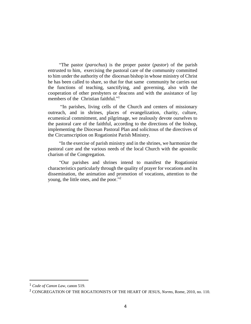"The pastor (*parochus*) is the proper pastor (*pastor*) of the parish entrusted to him, exercising the pastoral care of the community committed to him under the authority of the diocesan bishop in whose ministry of Christ he has been called to share, so that for that same community he carries out the functions of teaching, sanctifying, and governing, also with the cooperation of other presbyters or deacons and with the assistance of lay members of the Christian faithful."<sup>1</sup>

"In parishes, living cells of the Church and centers of missionary outreach, and in shrines, places of evangelization, charity, culture, ecumenical commitment, and pilgrimage, we zealously devote ourselves to the pastoral care of the faithful, according to the directions of the bishop, implementing the Diocesan Pastoral Plan and solicitous of the directives of the Circumscription on Rogationist Parish Ministry.

"In the exercise of parish ministry and in the shrines, we harmonize the pastoral care and the various needs of the local Church with the apostolic charism of the Congregation.

"Our parishes and shrines intend to manifest the Rogationist characteristics particularly through the quality of prayer for vocations and its dissemination, the animation and promotion of vocations, attention to the young, the little ones, and the poor."<sup>2</sup>

<sup>1</sup> *Code of Canon Law*, canon 519.

<sup>2</sup> CONGREGATION OF THE ROGATIONISTS OF THE HEART OF JESUS, *Norms*, Rome, 2010, no. 110.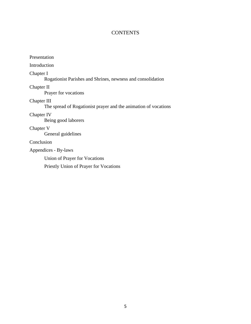# **CONTENTS**

| Presentation                                                                   |
|--------------------------------------------------------------------------------|
| Introduction                                                                   |
| Chapter I<br>Rogationist Parishes and Shrines, newness and consolidation       |
| Chapter II<br>Prayer for vocations                                             |
| Chapter III<br>The spread of Rogationist prayer and the animation of vocations |
| Chapter IV<br>Being good laborers                                              |
| Chapter V<br>General guidelines                                                |
| Conclusion                                                                     |
| Appendices - By-laws                                                           |

Union of Prayer for Vocations

Priestly Union of Prayer for Vocations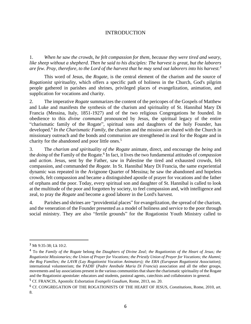# INTRODUCTION

1. *When he saw the crowds, he felt compassion for them, because they were tired and weary, like sheep without a shepherd. Then he said to his disciples: The harvest is great, but the laborers are few. Pray, therefore, to the Lord of the harvest that he may send out laborers into his harvest. 3*

This word of Jesus, the *Rogate*, is the central element of the charism and the source of *Rogationist spirituality*, which offers a specific path of holiness in the Church, God's pilgrim people gathered in parishes and shrines, privileged places of evangelization, animation, and supplication for vocations and charity.

2. The imperative *Rogate* summarizes the content of the pericopes of the Gospels of Matthew and Luke and manifests the synthesis of the charism and spirituality of St. Hannibal Mary Di Francia (Messina, Italy, 1851-1927) and of the two religious Congregations he founded. In obedience to this *divine command* pronounced by Jesus, the spiritual legacy of the entire "charismatic family of the Rogate", spiritual sons and daughters of the holy Founder, has developed. 4 *In the Charismatic Family*, the charism and the mission are shared with the Church in missionary outreach and the bonds and communion are strengthened in zeal for the Rogate and in charity for the abandoned and poor little ones. 5

3. The *charism and spirituality of the Rogate* animate, direct, and encourage the *being* and the *doing* of the Family of the Rogate. 6 In fact, it lives the two fundamental attitudes of *compassion* and *action*. Jesus, sent by the Father, saw in Palestine the tired and exhausted crowds, felt compassion, and commanded the *Rogate*. In St. Hannibal Mary Di Francia, the same experiential dynamic was repeated in the Avignone Quarter of Messina; he saw the abandoned and hopeless crowds, felt compassion and became a distinguished apostle of prayer for vocations and the father of orphans and the poor. Today, every spiritual son and daughter of St. Hannibal is called to look at the multitude of the poor and forgotten by society, to feel compassion and, with intelligence and zeal, to pray the *Rogate* and become a good laborer in the Lord's harvest.

4. Parishes and shrines are "providential places" for evangelization, the spread of the charism, and the veneration of the Founder presented as a model of holiness and service to the poor through social ministry. They are also "fertile grounds" for the Rogationist Youth Ministry called to

<sup>3</sup> Mt 9:35-38; Lk 10:2.

<sup>4</sup> To the *Family of the Rogate* belong the *Daughters of Divine Zeal; the Rogationists of the Heart of Jesus; the Rogationist Missionaries; the Union of Prayer for Vocations; the Priestly Union of Prayer for Vocations; the Alumni; the Rog Families; the LAVR (Lay Rogationist Vocation Animators); the ERA (European Rogationist Association)*; international volunteerism; the PADIF (*Padre Annibale Maria Di Francia*) association and all the other groups, movements and lay associations present in the various communities that share the charismatic spirituality of the Rogate and the Rogationist apostolate: educators and students, pastoral agents, catechists and collaborators in general.

<sup>5</sup> Cf. FRANCIS, Apostolic Exhortation *Evangelii Gaudium,* Rome, 2013, no. 20.

<sup>6</sup> Cf. CONGREGATION OF THE ROGATIONISTS OF THE HEART OF JESUS, *Constitutions*, Rome, 2010, art. 8.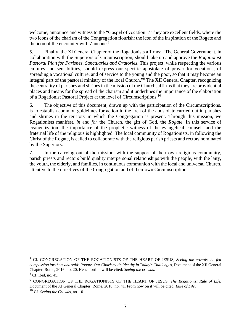welcome, announce and witness to the "Gospel of vocation".<sup>7</sup> They are excellent fields, where the two icons of the charism of the Congregation flourish: the icon of the inspiration of the Rogate and the icon of the encounter with Zancone. $8<sup>8</sup>$ 

5. Finally, the XI General Chapter of the Rogationists affirms: "The General Government, in collaboration with the Superiors of Circumscription, should take up and approve the *Rogationist Pastoral Plan for Parishes, Sanctuaries and Oratories*. This project, while respecting the various cultures and sensibilities, should express our specific apostolate of prayer for vocations, of spreading a vocational culture, and of service to the young and the poor, so that it may become an integral part of the pastoral ministry of the local Church." <sup>9</sup> The XII General Chapter, recognizing the centrality of parishes and shrines in the mission of the Church, affirms that they are providential places and means for the spread of the charism and it underlines the importance of the elaboration of a Rogationist Pastoral Project at the level of Circumscriptions.<sup>10</sup>

6. The objective of this document, drawn up with the participation of the Circumscriptions, is to establish common guidelines for action in the area of the apostolate carried out in parishes and shrines in the territory in which the Congregation is present. Through this mission, we Rogationists manifest, *in* and *for* the Church, the gift of God, the *Rogate*. In this service of evangelization, the importance of the prophetic witness of the evangelical counsels and the fraternal life of the religious is highlighted. The local community of Rogationists, in following the Christ of the Rogate, is called to collaborate with the religious parish priests and rectors nominated by the Superiors.

7. In the carrying out of the mission, with the support of their own religious community, parish priests and rectors build quality interpersonal relationships with the people, with the laity, the youth, the elderly, and families, in continuous communion with the local and universal Church, attentive to the directives of the Congregation and of their own Circumscription.

<sup>7</sup> Cf. CONGREGATION OF THE ROGATIONISTS OF THE HEART OF JESUS, *Seeing the crowds, he felt compassion for them and said: Rogate. Our Charismatic Identity in Today's Challenges,* Document of the XII General Chapter, Rome, 2016, no. 20. Henceforth it will be cited: *Seeing the crowds*. <sup>8</sup> Cf. Ibid, no. 45.

<sup>9</sup> CONGREGATION OF THE ROGATIONISTS OF THE HEART OF JESUS, *The Rogationist Rule of Life.* Document of the XI General Chapter, Rome, 2010, no. 41. From now on it will be cited: *Rule of Life*.

<sup>10</sup> Cf. *Seeing the Crowds*, no. 101.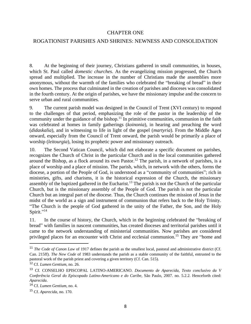#### CHAPTER ONE

#### ROGATIONIST PARISHES AND SHRINES: NEWNESS AND CONSOLIDATION

8. At the beginning of their journey, Christians gathered in small communities, in houses, which St. Paul called *domestic churches*. As the evangelizing mission progressed, the Church spread and multiplied. The increase in the number of Christians made the assemblies more anonymous, without the warmth of the families who celebrated the "breaking of bread" in their own homes. The process that culminated in the creation of parishes and dioceses was consolidated in the fourth century. At the origin of parishes, we have the missionary impulse and the concern to serve urban and rural communities.

9. The current parish model was designed in the Council of Trent (XVI century) to respond to the challenges of that period, emphasizing the role of the pastor in the leadership of the community under the guidance of the bishop.<sup>11</sup> In primitive communities, communion in the faith was celebrated at homes in family gatherings (*koinonia*), in hearing and preaching the word (*didaskalia*), and in witnessing to life in light of the gospel (*martyria*). From the Middle Ages onward, especially from the Council of Trent onward, the parish would be primarily a place of worship (*leitourgia*), losing its prophetic power and missionary outreach.

10. The Second Vatican Council, which did not elaborate a specific document on parishes, recognizes the Church of Christ in the particular Church and in the local communities gathered around the Bishop, as a flock around its own Pastor.<sup>12</sup> The parish, in a network of parishes, is a place of worship and a place of mission. The parish, which, in network with the others, forms the diocese, a portion of the People of God, is understood as a "community of communities"; rich in ministries, gifts, and charisms, it is the historical expression of the Church, the missionary assembly of the baptized gathered in the Eucharist.<sup>13</sup> The parish is not the Church of the particular Church, but is the missionary assembly of the People of God. The parish is not the particular Church but an integral part of the diocese. Thus, the Church continues the mission of Jesus in the midst of the world as a sign and instrument of communion that refers back to the Holy Trinity. "The Church is the people of God gathered in the unity of the Father, the Son, and the Holy Spirit."<sup>14</sup>

11. In the course of history, the Church, which in the beginning celebrated the "breaking of bread" with families in nascent communities, has created dioceses and territorial parishes until it came to the network understanding of ministerial communities. Now parishes are considered privileged places for an encounter with Christ and ecclesial communion.<sup>15</sup> They are "home and

<sup>&</sup>lt;sup>11</sup> *The Code of Canon Law* of 1917 defines the parish as the smallest local, pastoral and administrative district (Cf. Can. 215ff). *The New Code* of 1983 understands the parish as a stable community of the faithful, entrusted to the pastoral work of the parish priest and covering a given territory (Cf. Can. 515).

<sup>12</sup> Cf. *Lumen Gentium*, no. 26.

<sup>13</sup> Cf. CONSELHO EPISCOPAL LATINO-AMERICANO. *Documento de Aparecida, Texto conclusivo da V Conferência Geral do Episcopado Latino-Americano e do Caribe*, São Paulo, 2007. no. 5.2.2. Henceforth cited: *Aparecida*.

<sup>14</sup> Cf. *Lumen Gentium*, no. 4.

<sup>15</sup> Cf. *Aparecida*, no. 170.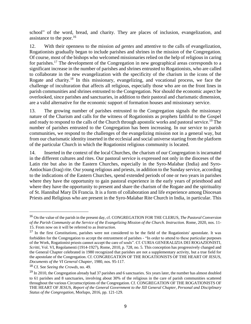school" of the word, bread, and charity. They are places of inclusion, evangelization, and assistance to the poor. $16$ 

12. With their openness to the mission *ad gentes* and attentive to the calls of evangelization, Rogationists gradually began to include parishes and shrines in the mission of the Congregation. Of course, most of the bishops who welcomed missionaries relied on the help of religious in caring for parishes.<sup>17</sup> The development of the Congregation in new geographical areas corresponds to a significant increase in the number of parishes and shrines entrusted to Rogationists, who are called to collaborate in the new evangelization with the specificity of the charism in the icons of the Rogate and charity.<sup>18</sup> In this missionary, evangelizing, and vocational process, we face the challenge of inculturation that affects all religious, especially those who are on the front lines in parish communities and shrines entrusted to the Congregation. Nor should the economic aspect be overlooked, since parishes and sanctuaries, in addition to their pastoral and charismatic dimension, are a valid alternative for the economic support of formation houses and missionary service.

13. The growing number of parishes entrusted to the Congregation signals the missionary nature of the Charism and calls for the witness of Rogationists as prophets faithful to the Gospel and ready to respond to the calls of the Church through apostolic works and pastoral service.<sup>19</sup> The number of parishes entrusted to the Congregation has been increasing. In our service to parish communities, we respond to the challenges of the evangelizing mission not in a general way, but from our charismatic identity inserted in the ecclesial and social universe starting from the platform of the particular Church in which the Rogationist religious community is located.

14. Inserted in the context of the local Churches, the charism of our Congregation is incarnated in the different cultures and rites. Our pastoral service is expressed not only in the dioceses of the Latin rite but also in the Eastern Churches, especially in the Syro-Malabar (India) and Syro-Antiochian (Iraq) rite. Our young religious and priests, in addition to the Sunday service, according to the indications of the Eastern Churches, spend extended periods of one or two years in parishes where they have the opportunity to gain pastoral experience in the early years of priesthood and where they have the opportunity to present and share the charism of the Rogate and the spirituality of St. Hannibal Mary Di Francia. It is a form of collaboration and life experience among Diocesan Priests and Religious who are present in the Syro-Malabar Rite Church in India, in particular. This

<sup>16</sup> On the value of the parish in the present day, cf. CONGREGATION FOR THE CLERUS, *The Pastoral Conversion of the Parish Community at the Service of the Evangelizing Mission of the Church. Instruction.* Rome, 2020, nos. 11- 15. From now on it will be referred to as *Instruction*.

<sup>17</sup> In the first *Constitutions*, parishes were not considered to be the field of the Rogationists' apostolate. It was forbidden for the Congregation to accept the entrustment of parishes - "In order to attend to these particular purposes of the Work, Rogationist priests cannot accept the care of souls". Cf. CURIA GENERALIZIA DEI ROGAZIONISTI, *Scritti*, Vol. VI, Regolamenti (1914-1927), Rome, 2010, p. 728, no. 5. This conception has progressively changed and the General Chapter celebrated in 1980 recognized that parishes are not a supplementary activity, but a true field for the apostolate of the Congregation. Cf. CONGREGATION OF THE ROGATIONISTS OF THE HEART OF JESUS, *Documents of the VI General Chapter*, 1980, nos. 95-117.

<sup>18</sup> Cf. See *Seeing the Crowds*, no. 49.

 $19$  In 2010, the Congregation already had 37 parishes and 6 sanctuaries. Six years later, the number has almost doubled to 61 parishes and 8 sanctuaries, involving about 30% of the religious in the care of parish communities scattered throughout the various Circumscriptions of the Congregation. Cf. CONGREGATION OF THE ROGATIONISTS OF THE HEART OF JESUS, *Report of the General Government to the XII General Chapter, Personal and Disciplinary Status of the Congregation*, Morlupo, 2016, pp. 121-129.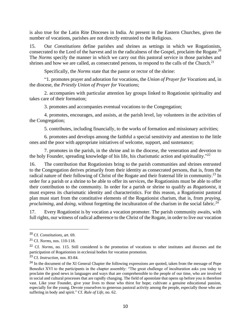is also true for the Latin Rite Dioceses in India. At present in the Eastern Churches, given the number of vocations, parishes are not directly entrusted to the Religious.

15. Our *Constitutions* define parishes and shrines as settings in which we Rogationists, consecrated to the Lord of the harvest and in the radicalness of the Gospel, proclaim the Rogate.<sup>20</sup> The *Norms* specify the manner in which we carry out this pastoral service in those parishes and shrines and how we are called, as consecrated persons, to respond to the calls of the Church.<sup>21</sup>

Specifically, the *Norms* state that the pastor or rector of the shrine:

"1. promotes prayer and adoration for vocations, the *Union of Prayer for Vocations* and, in the diocese, the *Priestly Union of Prayer for Vocations*;

2. accompanies with particular attention lay groups linked to Rogationist spirituality and takes care of their formation;

3. promotes and accompanies eventual vocations to the Congregation;

4. promotes, encourages, and assists, at the parish level, lay volunteers in the activities of the Congregation;

5. contributes, including financially, to the works of formation and missionary activities;

6. promotes and develops among the faithful a special sensitivity and attention to the little ones and the poor with appropriate initiatives of welcome, support, and sustenance;

7. promotes in the parish, in the shrine and in the diocese, the veneration and devotion to the holy Founder, spreading knowledge of his life, his charismatic action and spirituality."<sup>22</sup>

16. The contribution that Rogationists bring to the parish communities and shrines entrusted to the Congregation derives primarily from their identity as consecrated persons, that is, from the radical nature of their following of Christ of the Rogate and their fraternal life in community.<sup>23</sup> In order for a parish or a shrine to be able to offer its services, the Rogationists must be able to offer their contribution to the community. In order for a parish or shrine to qualify as *Rogationist*, it must express its charismatic identity and characteristics. For this reason, a Rogationist pastoral plan must start from the constitutive elements of the Rogationist charism, that is, from *praying*, *proclaiming,* and *doing*, without forgetting the inculturation of the charism in the social fabric.<sup>24</sup>

17. Every Rogationist is by vocation a vocation promoter. The parish community awaits, with full rights, our witness of radical adherence to the Christ of the Rogate, in order to live our vocation

<sup>20</sup> Cf. *Constitutions*, art. 69.

<sup>21</sup> Cf. *Norms*, nos. 110-118.

<sup>&</sup>lt;sup>22</sup> Cf. *Norms*, no. 115. Still considered is the promotion of vocations to other institutes and dioceses and the participation of Rogationists in ecclesial bodies for vocation promotion.

<sup>23</sup> Cf. *Instruction*, nos. 83-84.

<sup>&</sup>lt;sup>24</sup> In the document of the XI General Chapter the following expressions are quoted, taken from the message of Pope Benedict XVI to the participants in the chapter assembly: "The great challenge of inculturation asks you today to proclaim the good news in languages and ways that are comprehensible to the people of our time, who are involved in social and cultural processes that are rapidly changing. The field of apostolate that opens up before you is therefore vast. Like your Founder, give your lives to those who thirst for hope; cultivate a genuine educational passion, especially for the young. Devote yourselves to generous pastoral activity among the people, especially those who are suffering in body and spirit." Cf. *Rule of Life*, no. 62.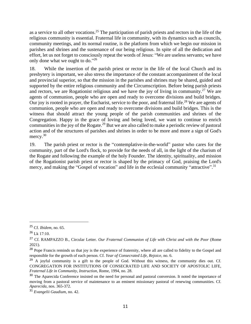as a service to all other vocations.<sup>25</sup> The participation of parish priests and rectors in the life of the religious community is essential. Fraternal life in community, with its dynamics such as councils, community meetings, and its normal routine, is the platform from which we begin our mission in parishes and shrines and the sustenance of our being religious. In spite of all the dedication and effort, let us not forget to consciously repeat the words of Jesus: "We are useless servants; we have only done what we ought to do."26

18. While the insertion of the parish priest or rector in the life of the local Church and its presbytery is important, we also stress the importance of the constant accompaniment of the local and provincial superior, so that the mission in the parishes and shrines may be shared, guided and supported by the entire religious community and the Circumscription. Before being parish priests and rectors, we are Rogationist religious and we have the joy of living in community.<sup>27</sup> We are agents of communion, people who are open and ready to overcome divisions and build bridges. Our joy is rooted in prayer, the Eucharist, service to the poor, and fraternal life.<sup>28</sup> We are agents of communion, people who are open and ready to overcome divisions and build bridges. This is the witness that should attract the young people of the parish communities and shrines of the Congregation. Happy in the grace of loving and being loved, we want to continue to enrich communities in the joy of the Rogate.<sup>29</sup> But we are also called to make a periodic review of pastoral action and of the structures of parishes and shrines in order to be more and more a sign of God's mercy.<sup>30</sup>

19. The parish priest or rector is the "contemplative-in-the-world" pastor who cares for the community, part of the Lord's flock, to provide for the needs of all, in the light of the charism of the Rogate and following the example of the holy Founder. The identity, spirituality, and mission of the Rogationist parish priest or rector is shaped by the primacy of God, praising the Lord's mercy, and making the "Gospel of vocation" and life in the ecclesial community "attractive".<sup>31</sup>

<sup>25</sup> Cf. *Ibidem*, no. 65.

 $26$  Lk 17:10.

<sup>27</sup> Cf. RAMPAZZO B., Circular Letter. *Our Fraternal Communion of Life with Christ and with the Poor* (Rome 2021).

<sup>&</sup>lt;sup>28</sup> Pope Francis reminds us that joy is the experience of fraternity, where all are called to fidelity to the Gospel and responsible for the growth of each person. Cf. *Year of Consecrated Life, Rejoice,* no. 6.

 $^{29}$  A joyful community is a gift to the people of God. Without this witness, the community dies out. Cf. CONGREGATION FOR INSTITUTIONS OF CONSECRATED LIFE AND SOCIETY OF APOSTOLIC LIFE, *Fraternal Life in Community, Instruction*, Rome, 1994, no. 28.

<sup>&</sup>lt;sup>30</sup> The Aparecida Conference insisted on the need for personal and pastoral conversion. It noted the importance of moving from a pastoral service of maintenance to an eminent missionary pastoral of renewing communities. Cf. *Aparecida*, nos. 365-372.

<sup>31</sup> *Evangelii Gaudium*, no. 42.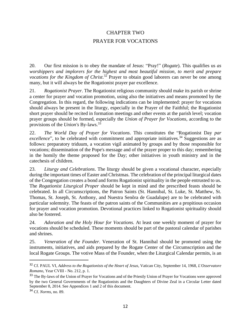# CHAPTER TWO PRAYER FOR VOCATIONS

20. Our first mission is to obey the mandate of Jesus: "Pray!" (*Rogate*). This qualifies us *as worshippers and implorers for the highest and most beautiful mission, to merit and prepare vocations for the Kingdom of Christ*. <sup>32</sup> Prayer to obtain good laborers can never be one among many, but it will always be the Rogationist prayer par excellence.

21. *Rogationist Prayer*. The Rogationist religious community should make its parish or shrine a center for prayer and vocation promotion, using also the initiatives and means promoted by the Congregation. In this regard, the following indications can be implemented: prayer for vocations should always be present in the liturgy, especially in the Prayer of the Faithful; the Rogationist short prayer should be recited in formation meetings and other events at the parish level; vocation prayer groups should be formed, especially the *Union of Prayer for Vocations*, according to the provisions of the *Union's* By-laws. 33

22. *The World Day of Prayer for Vocations*. This constitutes the "Rogationist Day *par excellence*", to be celebrated with commitment and appropriate initiatives.<sup>34</sup> Suggestions are as follows: preparatory triduum, a vocation vigil animated by groups and by those responsible for vocations; dissemination of the Pope's message and of the prayer proper to this day; remembering in the homily the theme proposed for the Day; other initiatives in youth ministry and in the catechesis of children.

23. *Liturgy and Celebrations*. The liturgy should be given a vocational character, especially during the important times of Easter and Christmas. The celebration of the principal liturgical dates of the Congregation creates a bond and forms Rogationist spirituality in the people entrusted to us. The *Rogationist Liturgical Proper* should be kept in mind and the prescribed feasts should be celebrated. In all Circumscriptions, the Patron Saints (St. Hannibal, St. Luke, St. Matthew, St. Thomas, St. Joseph, St. Anthony, and Nuestra Senõra de Guadalupe) are to be celebrated with particular solemnity. The feasts of the patron saints of the Communities are a propitious occasion for prayer and vocation promotion. Devotional practices linked to Rogationist spirituality should also be fostered.

24. *Adoration and the Holy Hour for Vocations.* At least one weekly moment of prayer for vocations should be scheduled. These moments should be part of the pastoral calendar of parishes and shrines.

25. *Veneration of the Founder*. Veneration of St. Hannibal should be promoted using the instruments, initiatives, and aids prepared by the Rogate Center of the Circumscription and the local Rogate Groups. The votive Mass of the Founder, when the Liturgical Calendar permits, is an

<sup>32</sup> Cf. PAUL VI, *Address to the Rogationists of the Heart of Jesus*, Vatican City, September 14, 1968, *L'Osservatore Romano*, Year CVIII - No. 212, p. 1.

<sup>&</sup>lt;sup>33</sup> The By-laws of the Union of Prayer for Vocations and of the Priestly Union of Prayer for Vocations were approved by the two General Governments of the Rogationists and the Daughters of Divine Zeal in a Circular Letter dated September 8, 2014. See Appendices 1 and 2 of this document.

<sup>34</sup> Cf. *Norms*, no. 89.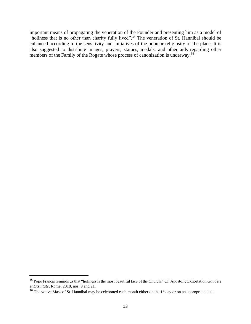important means of propagating the veneration of the Founder and presenting him as a model of "holiness that is no other than charity fully lived".<sup>35</sup> The veneration of St. Hannibal should be enhanced according to the sensitivity and initiatives of the popular religiosity of the place. It is also suggested to distribute images, prayers, statues, medals, and other aids regarding other members of the Family of the Rogate whose process of canonization is underway.<sup>36</sup>

<sup>35</sup> Pope Francis reminds us that "holiness is the most beautiful face of the Church." Cf. Apostolic Exhortation *Gaudete et Exsultate*, Rome, 2018, nos. 9 and 21.

<sup>&</sup>lt;sup>36</sup> The votive Mass of St. Hannibal may be celebrated each month either on the 1<sup>st</sup> day or on an appropriate date.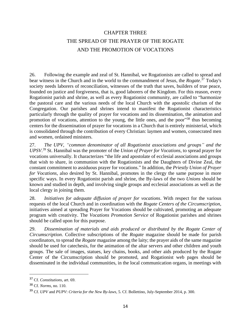# CHAPTER THREE THE SPREAD OF THE PRAYER OF THE ROGATE AND THE PROMOTION OF VOCATIONS

26. Following the example and zeal of St. Hannibal, we Rogationists are called to spread and bear witness in the Church and in the world to the commandment of Jesus, the *Rogate*. <sup>37</sup> Today's society needs laborers of reconciliation, witnesses of the truth that saves, builders of true peace, founded on justice and forgiveness, that is, good laborers of the Kingdom. For this reason, every Rogationist parish and shrine, as well as every Rogationist community, are called to "harmonize the pastoral care and the various needs of the local Church with the apostolic charism of the Congregation. Our parishes and shrines intend to manifest the Rogationist characteristics particularly through the quality of prayer for vocations and its dissemination, the animation and promotion of vocations, attention to the young, the little ones, and the poor<sup>338</sup> thus becoming centers for the dissemination of prayer for vocations in a Church that is entirely ministerial, which is consolidated through the contribution of every Christian: laymen and women, consecrated men and women, ordained ministers.

27. *The UPV, "common denominator of all Rogationist associations and groups" and the UPSV*. <sup>39</sup> St. Hannibal was the promoter of the *Union of Prayer for Vocations*, to spread prayer for vocations universally. It characterizes "the life and apostolate of ecclesial associations and groups that wish to share, in communion with the Rogationists and the Daughters of Divine Zeal, the constant commitment to assiduous prayer for vocations." In addition, the *Priestly Union of Prayer for Vocations*, also desired by St. Hannibal, promotes in the clergy the same purpose in more specific ways. In every Rogationist parish and shrine, the By-laws of the two *Unions* should be known and studied in depth, and involving single groups and ecclesial associations as well as the local clergy in joining them.

28. *Initiatives for adequate diffusion of prayer for vocations*. With respect for the various requests of the local Church and in coordination with the *Rogate Centers of the Circumscription*, initiatives aimed at spreading Prayer for Vocations should be cultivated, promoting an adequate program with creativity. The *Vocations Promotion Service* of Rogationist parishes and shrines should be called upon for this purpose.

29. *Dissemination of materials and aids produced or distributed by the Rogate Center of Circumscription*. Collective subscriptions of the *Rogate* magazine should be made for parish coordinators, to spread the *Rogate* magazine among the laity; the prayer aids of the same magazine should be used for catechesis, for the animation of the altar servers and other children and youth groups. The sale of images, statues, key chains, books, and other aids produced by the Rogate Center of the Circumscription should be promoted, and Rogationist web pages should be disseminated in the individual communities, in the local communication organs, in meetings with

<sup>37</sup> Cf. *Constitutions*, art. 69.

<sup>38</sup> Cf. *Norms*, no. 110.

<sup>39</sup> Cf. *UPV* and *PUPV*: *Criteria for the New By-laws,* 5. Cf. Bollettino, July-September 2014, p. 300.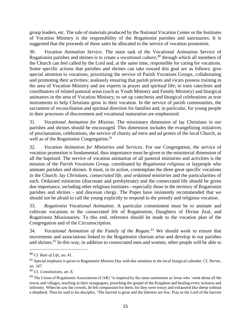group leaders, etc. The sale of materials produced by the National Vocation Center or the Institutes of Vocation Ministry is the responsibility of the Rogationist parishes and sanctuaries. It is suggested that the proceeds of these sales be allocated to the service of vocation promotion.

30. *Vocation Animation Service*. The main task of the Vocational Animation Service of Rogationist parishes and shrines is to create a *vocational culture*, <sup>40</sup> through which all members of the Church can feel called by the Lord and, at the same time, responsible for caring for vocations. Some specific actions that parishes and shrines can take toward this goal are as follows: give special attention to vocations, prioritizing the service of Parish Vocations Groups, collaborating and promoting their activities; zealously ensuring that parish priests and vicars possess training in the area of Vocation Ministry and are experts in prayer and spiritual life; to train catechists and coordinators of related pastoral areas (such as Youth Ministry and Family Ministry) and liturgical animators in the area of Vocation Ministry; to set up catechesis and liturgical celebrations as true instruments to help Christians grow in their vocation. In the service of parish communities, the sacrament of reconciliation and spiritual direction for families and, in particular, for young people in their processes of discernment and vocational maturation are emphasized.

31. *Vocational Animation for Mission*. The missionary dimension of lay Christians in our parishes and shrines should be encouraged. This dimension includes the evangelizing initiatives of proclamation, celebrations, the service of charity *ad intra* and *ad gentes* of the local Church, as well as of the Rogationist Congregation.<sup>41</sup>

32. *Vocation Animation for Ministries and Services*. For our Congregation, the service of vocation promotion is fundamental, thus importance must be given to the ministerial dimension of all the baptized. The service of vocation animation of all pastoral ministries and activities is the mission of the *Parish Vocations Grou*p, coordinated by *Rogationist religious* or laypeople who animate parishes and shrines. It must, in its action, contemplate the three great specific vocations in the Church: *lay Christians, consecrated life, and ordained ministries* and the particularities of each. Ordained ministries (diaconate and presbyterate) and the consecrated life should be given due importance, including other religious institutes - especially those in the territory of Rogationist parishes and shrines - and diocesan clergy. The Popes have insistently recommended that we should not be afraid to call the young explicitly to respond to the priestly and religious vocation.

33. *Rogationist Vocational Animation.* A particular commitment must be to animate and cultivate vocations to the consecrated life of Rogationists, Daughters of Divine Zeal, and Rogationist Missionaries. To this end, reference should be made to the vocation plan of the Congregation and of the Circumscription.

34. *Vocational Animation of the Family of the Rogate*. <sup>42</sup> We should work to ensure that movements and associations linked to the Rogationist charism arise and develop in our parishes and shrines.<sup>43</sup> In this way, in addition to consecrated men and women, other people will be able to

<sup>40</sup> Cf. *Rule of Life*, no. 41.

<sup>41</sup> Special emphasis is given to Rogationist Mission Day with due attention to the local liturgical calendar. Cf. *Norms*, no. 107.

<sup>42</sup> Cf. *Constitutions*, art. 8.

<sup>&</sup>lt;sup>43</sup> The Union of Rogationist Associations (UAR) "is inspired by the same sentiments as Jesus who 'went about all the towns and villages, teaching in their synagogues, preaching the gospel of the Kingdom and healing every sickness and infirmity. When he saw the crowds, he felt compassion for them, for they were weary and exhausted like sheep without a shepherd. Then he said to his disciples, 'The harvest is great and the laborers are few. Pray to the Lord of the harvest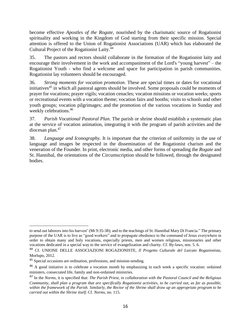become effective *Apostles of the Rogate*, nourished by the charismatic source of Rogationist spirituality and working in the Kingdom of God starting from their specific mission. Special attention is offered to the Union of Rogationist Associations (UAR) which has elaborated the Cultural Project of the Rogationist Laity. 44

35. The pastors and rectors should collaborate in the formation of the Rogationist laity and encourage their involvement in the work and accompaniment of the Lord's "young harvest" – the Rogationist Youth - who find a welcome and space for participation in parish communities. Rogationist lay volunteers should be encouraged.

36. *Strong moments for vocation promotion*. These are special times or dates for vocational initiatives<sup>45</sup> in which all pastoral agents should be involved. Some proposals could be moments of prayer for vocations; prayer vigils; vocation cenacles; vocation missions or vocation weeks; sports or recreational events with a vocation theme; vocation fairs and booths; visits to schools and other youth groups; vocation pilgrimages; and the promotion of the various vocations in Sunday and weekly celebrations. 46

37. *Parish Vocational Pastoral Plan.* The parish or shrine should establish a systematic plan at the service of vocation animation, integrating it with the program of parish activities and the diocesan plan. 47

38. *Language and Iconography.* It is important that the criterion of uniformity in the use of language and images be respected in the dissemination of the Rogationist charism and the veneration of the Founder. In print, electronic media, and other forms of spreading the *Rogate* and St. Hannibal, the orientations of the Circumscription should be followed, through the designated bodies.

to send out laborers into his harvest' (Mt 9:35-38); and to the teachings of St. Hannibal Mary Di Francia." The primary purpose of the UAR is to live as "good workers" and to propagate obedience to the command of Jesus everywhere in order to obtain many and holy vocations, especially priests, men and women religious, missionaries and other vocations dedicated in a special way to the service of evangelization and charity. Cf. By-laws, nos. 5. 6.

<sup>44</sup> Cf. UNIONE DELLE ASSOCIAZIONI ROGAZIONISTE, *Il Progetto Culturale del Laicato Rogazionista*, Morlupo, 2012.

<sup>45</sup> Special occasions are ordination, professions, and mission-sending.

<sup>&</sup>lt;sup>46</sup> A good initiative is to celebrate a vocation month by emphasizing in each week a specific vocation: ordained ministers, consecrated life, family and non-ordained ministries.

<sup>47</sup> In the *Norms*, it is specified that: *The Parish Priest, in collaboration with the Pastoral Council and the Religious Community, shall plan a program that are specifically Rogationist activities, to be carried out, as far as possible, within the framework of the Parish. Similarly, the Rector of the Shrine shall draw up an appropriate program to be carried out within the Shrine itself*. Cf. *Norms*, no. 115.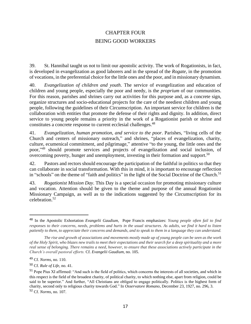# CHAPTER FOUR BEING GOOD WORKERS

39. St. Hannibal taught us not to limit our apostolic activity. The work of Rogationists, in fact, is developed in evangelization as good laborers and in the spread of the *Rogate*, in the promotion of vocations, in the preferential choice for the little ones and the poor, and in missionary dynamism.

40. *Evangelization of children and youth*. The service of evangelization and education of children and young people, especially the poor and needy, is the *proprium* of our communities. For this reason, parishes and shrines carry out activities for this purpose and, as a concrete sign, organize structures and socio-educational projects for the care of the neediest children and young people, following the guidelines of their Circumscription. An important service for children is the collaboration with entities that promote the defense of their rights and dignity. In addition, direct service to young people remains a priority in the work of a Rogationist parish or shrine and constitutes a concrete response to current ecclesial challenges.<sup>48</sup>

41. *Evangelization, human promotion, and service to the poor*. Parishes, "living cells of the Church and centers of missionary outreach," and shrines, "places of evangelization, charity, culture, ecumenical commitment, and pilgrimage," attentive "to the young, the little ones and the poor,"<sup>49</sup> should promote services and projects of evangelization and social inclusion, of overcoming poverty, hunger and unemployment, investing in their formation and support.<sup>50</sup>

42. Pastors and rectors should encourage the participation of the faithful in politics so that they can collaborate in social transformation. With this in mind, it is important to encourage reflection in "schools" on the theme of "faith and politics" in the light of the Social Doctrine of the Church.<sup>51</sup>

43. *Rogationist Mission Day*. This Day is a special occasion for promoting missionary culture and vocation. Attention should be given to the theme and purpose of the annual Rogationist Missionary Campaign, as well as to the indications suggested by the Circumscription for its celebration. 52

<sup>48</sup> In the Apostolic Exhortation *Evangelii Gaudium,* Pope Francis emphasizes: *Young people often fail to find responses to their concerns, needs, problems and hurts in the usual structures. As adults, we find it hard to listen patiently to them, to appreciate their concerns and demands, and to speak to them in a language they can understand.* 

*The rise and growth of associations and movements mostly made up of young people can be seen as the work of the Holy Spirit, who blazes new trails to meet their expectations and their search for a deep spirituality and a more real sense of belonging. There remains a need, however, to ensure that these associations actively participate in the Church's overall pastoral efforts.* Cf. *Evangelii Gaudium*, no. 105.

<sup>49</sup> Cf. *Norms*, no. 110.

<sup>50</sup> Cf. *Rule of Life*, no. 41.

<sup>&</sup>lt;sup>51</sup> Pope Pius XI affirmed: "And such is the field of politics, which concerns the interests of all societies, and which in this respect is the field of the broadest charity, of political charity, to which nothing else, apart from religion, could be said to be superior." And further, "All Christians are obliged to engage politically. Politics is the highest form of charity, second only to religious charity towards God." In *Osservatore Romano*, December 23, 1927, no. 296, 3. <sup>52</sup> Cf. *Norms*, no. 107.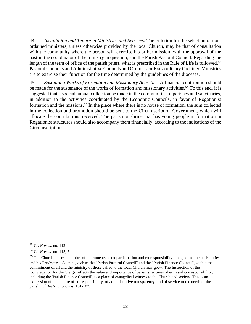44. *Installation and Tenure in Ministries and Services.* The criterion for the selection of nonordained ministers, unless otherwise provided by the local Church, may be that of consultation with the community where the person will exercise his or her mission, with the approval of the pastor, the coordinator of the ministry in question, and the Parish Pastoral Council. Regarding the length of the term of office of the parish priest, what is prescribed in the Rule of Life is followed.<sup>53</sup> Pastoral Councils and Administrative Councils and Ordinary or Extraordinary Ordained Ministries are to exercise their function for the time determined by the guidelines of the dioceses.

45. *Sustaining Works of Formation and Missionary Activities.* A financial contribution should be made for the sustenance of the works of formation and missionary activities.<sup>54</sup> To this end, it is suggested that a special annual collection be made in the communities of parishes and sanctuaries, in addition to the activities coordinated by the Economic Councils, in favor of Rogationist formation and the missions.<sup>55</sup> In the place where there is no house of formation, the sum collected in the collection and promotion should be sent to the Circumscription Government, which will allocate the contributions received. The parish or shrine that has young people in formation in Rogationist structures should also accompany them financially, according to the indications of the Circumscriptions.

<sup>53</sup> Cf. *Norms*, no. 112.

<sup>54</sup> Cf. *Norms*, no. 115, 5.

<sup>&</sup>lt;sup>55</sup> The Church places a number of instruments of co-participation and co-responsibility alongside to the parish priest and his Presbyteral Council, such as the "Parish Pastoral Council" and the "Parish Finance Council", so that the commitment of all and the ministry of those called to the local Church may grow. The Instruction of the Congregation for the Clergy reflects the value and importance of parish structures of ecclesial co-responsibility, including the 'Parish Finance Council', as a place of evangelical witness to the Church and society. This is an expression of the culture of co-responsibility, of administrative transparency, and of service to the needs of the parish. Cf. *Instruction*, nos. 101-107.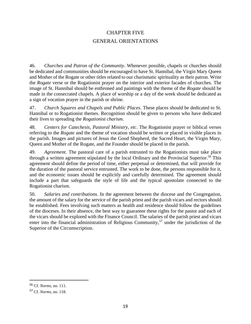# CHAPTER FIVE GENERAL ORIENTATIONS

46. *Churches and Patron of the Community*. Whenever possible, chapels or churches should be dedicated and communities should be encouraged to have St. Hannibal, the Virgin Mary Queen and Mother of the Rogate or other titles related to our charismatic spirituality as their patron. Write the *Rogate* verse or the Rogationist prayer on the interior and exterior facades of churches. The image of St. Hannibal should be enthroned and paintings with the theme of the *Rogate* should be made in the consecrated chapels. A place of worship or a day of the week should be dedicated as a sign of vocation prayer in the parish or shrine.

47. *Church Squares and Chapels and Public Places*. These places should be dedicated to St. Hannibal or to Rogationist themes. Recognition should be given to persons who have dedicated their lives to spreading the *Rogationist charism*.

48. *Centers for Catechesis, Pastoral Ministry, etc*. The Rogationist prayer or biblical verses referring to the *Rogate* and the theme of vocation should be written or placed in visible places in the parish. Images and pictures of Jesus the Good Shepherd, the Sacred Heart, the Virgin Mary, Queen and Mother of the Rogate, and the Founder should be placed in the parish.

49. *Agreement*. The pastoral care of a parish entrusted to the Rogationists must take place through a written agreement stipulated by the local Ordinary and the Provincial Superior.<sup>56</sup> This agreement should define the period of time, either perpetual or determined, that will provide for the duration of the pastoral service entrusted. The work to be done, the persons responsible for it, and the economic issues should be explicitly and carefully determined. The agreement should include a part that safeguards the style of life and the typical apostolate connected to the Rogationist charism.

50. *Salaries and contributions*. In the agreement between the diocese and the Congregation, the amount of the salary for the service of the parish priest and the parish vicars and rectors should be established. Fees involving such matters as health and residence should follow the guidelines of the dioceses. In their absence, the best way to guarantee these rights for the pastor and each of the vicars should be explored with the Finance Council. The salaries of the parish priest and vicars enter into the financial administration of Religious Community,<sup>57</sup> under the jurisdiction of the Superior of the Circumscription.

<sup>56</sup> Cf. *Norms*, no. 111.

<sup>57</sup> Cf. *Norms*, no. 118.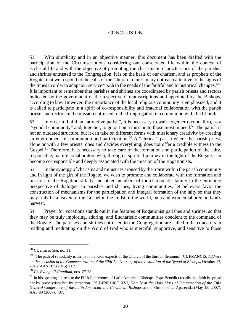# **CONCLUSION**

51. With simplicity and in an objective manner, this document has been drafted with the participation of the Circumscriptions considering our consecrated life within the context of ecclesial life and with the objective of promoting the charismatic characteristics of the parishes and shrines entrusted to the Congregation. It is on the basis of our charism, and as prophets of the Rogate, that we respond to the calls of the Church in missionary outreach attentive to the signs of the times in order to adapt our service "both to the needs of the faithful and to historical changes." 58 It is important to remember that parishes and shrines are coordinated by parish priests and rectors indicated by the government of the respective Circumscriptions and appointed by the Bishops, according to law. However, the importance of the local religious community is emphasized, and it is called to participate in a spirit of co-responsibility and fraternal collaboration with the parish priests and rectors in the mission entrusted to the Congregation in communion with the Church.

52. In order to build an "attractive parish", it is necessary to walk together (synodality), as a "synodal community" and, together, to go out on a mission to those most in need.<sup>59</sup> The parish is not an outdated structure, but it can take on different forms with missionary creativity by creating an environment of communion and participation.<sup>60</sup> A "clerical" parish where the parish priest, alone or with a few priests, does and decides everything, does not offer a credible witness to the Gospel.<sup>61</sup> Therefore, it is necessary to take care of the formation and participation of the laity, responsible, mature collaborators who, through a spiritual journey in the light of the Rogate, can become co-responsible and deeply associated with the mission of the Rogationists.

53. In the synergy of charisms and ministries aroused by the Spirit within the parish community and in light of the gift of the Rogate, we wish to promote and collaborate with the formation and mission of the Rogationist laity and other members of the charismatic family in the enriching perspective of dialogue. In parishes and shrines, living communities, let believers favor the construction of mechanisms for the participation and integral formation of the laity so that they may truly be a leaven of the Gospel in the midst of the world, men and women laborers in God's harvest.

54. Prayer for vocations stands out in the features of Rogationist parishes and shrines, so that they may be truly imploring, adoring, and Eucharistic communities obedient to the command of the Rogate. The parishes and shrines entrusted to the Congregation are called to be educators in reading and meditating on the Word of God who is merciful, supportive, and sensitive to those

<sup>58</sup> Cf. *Instruction*, no. 11.

<sup>59</sup> "The path of synodality is the path that God expects of the Church of the third millennium." Cf. FRANCIS, *Address on the occasion of the Commemoration of the 50th Anniversary of the Institution of the Synod of Bishops*, October 17, 2015: AAS 107 (2015) 1139.

<sup>60</sup> Cf. *Evangelii Gaudium*, nos. 27-28.

<sup>&</sup>lt;sup>61</sup> In his opening address to the Fifth Conference of Latin American Bishops, Pope Benedict recalls that faith is spread not by proselytism but by attraction. Cf. BENEDICT XVI, *Homily at the Holy Mass of Inauguration of the Fifth General Conference of the Latin American and Caribbean Bishops* at the Shrine of La Aparecida (May 13, 2007), AAS 99 (2007), 437.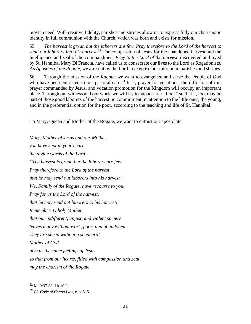most in need. With creative fidelity, parishes and shrines allow us to express fully our charismatic identity in full communion with the Church, which was born and exists for mission.

55. *The harvest is great, but the laborers are few. Pray therefore to the Lord of the harvest to send out laborers into his harvest.* <sup>62</sup> The compassion of Jesus for the abandoned harvest and the intelligence and zeal of the commandment *Pray to the Lord of the harvest*, discovered and lived by St. Hannibal Mary Di Francia, have called us to consecrate our lives to the Lord as Rogationists. As *Apostles of the Rogate,* we are sent by the Lord to exercise our mission in parishes and shrines.

56. Through the mission of the *Rogate*, we want to evangelize and serve the People of God who have been entrusted to our pastoral care.<sup>63</sup> In it, prayer for vocations, the diffusion of this prayer commanded by Jesus, and vocation promotion for the Kingdom will occupy an important place. Through our witness and our work, we will try to support our "flock" so that it, too, may be part of those good laborers of the harvest, in commitment, in attention to the little ones, the young, and in the preferential option for the poor, according to the teaching and life of St. Hannibal.

To Mary, Queen and Mother of the Rogate, we want to entrust our apostolate:

*Mary, Mother of Jesus and our Mother, you have kept in your heart the divine words of the Lord: "The harvest is great, but the laborers are few; Pray therefore to the Lord of the harvest that he may send out laborers into his harvest". We, Family of the Rogate, have recourse to you: Pray for us the Lord of the harvest, that he may send out laborers to his harvest! Remember, O holy Mother that our indifferent, unjust, and violent society leaves many without work, poor, and abandoned. They are sheep without a shepherd! Mother of God give us the same feelings of Jesus so that from our hearts, filled with compassion and zeal may the charism of the Rogate* 

<sup>62</sup> Mt 9:37-38; Lk 10:2.

<sup>63</sup> Cf. *Code of Canon Law*, can. 515.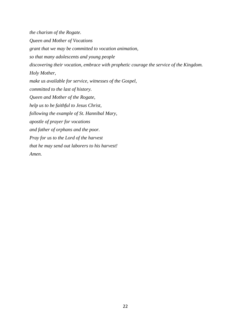*the charism of the Rogate. Queen and Mother of Vocations grant that we may be committed to vocation animation, so that many adolescents and young people discovering their vocation, embrace with prophetic courage the service of the Kingdom. Holy Mother, make us available for service, witnesses of the Gospel, committed to the last of history. Queen and Mother of the Rogate, help us to be faithful to Jesus Christ, following the example of St. Hannibal Mary, apostle of prayer for vocations and father of orphans and the poor. Pray for us to the Lord of the harvest that he may send out laborers to his harvest! Amen.*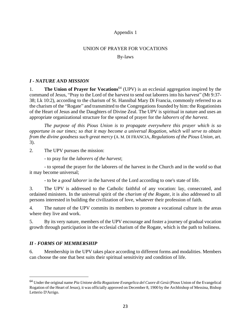# Appendix 1

# UNION OF PRAYER FOR VOCATIONS

By-laws

# *I - NATURE AND MISSION*

1. **The Union of Prayer for Vocations**<sup>64</sup> (UPV) is an ecclesial aggregation inspired by the command of Jesus, "Pray to the Lord of the harvest to send out laborers into his harvest" (Mt 9:37- 38; Lk 10:2), according to the charism of St. Hannibal Mary Di Francia, commonly referred to as the charism of the "Rogate" and transmitted to the Congregations founded by him: the Rogationists of the Heart of Jesus and the Daughters of Divine Zeal. The UPV is spiritual in nature and uses an appropriate organizational structure for the spread of prayer for the *laborers of the harvest*.

*The purpose of this Pious Union is to propagate everywhere this prayer which is so opportune in our times; so that it may become a universal Rogation, which will serve to obtain from the divine goodness such great mercy* (A. M. DI FRANCIA, *Regulations of the Pious Union*, art. 3).

2. The UPV pursues the mission:

- to pray for the *laborers of the harvest*;

- to spread the prayer for the laborers of the harvest in the Church and in the world so that it may become universal;

- to be a *good laborer* in the harvest of the Lord according to one's state of life.

3. The UPV is addressed to the Catholic faithful of any vocation: lay, consecrated, and ordained ministers. In the universal spirit of the *charism of the Rogate*, it is also addressed to all persons interested in building the civilization of love, whatever their profession of faith.

4. The nature of the UPV commits its members to promote a vocational culture in the areas where they live and work.

5. By its very nature, members of the UPV encourage and foster a journey of gradual vocation growth through participation in the ecclesial charism of the Rogate, which is the path to holiness.

# *II - FORMS OF MEMBERSHIP*

6. Membership in the UPV takes place according to different forms and modalities. Members can choose the one that best suits their spiritual sensitivity and condition of life.

<sup>64</sup> Under the original name *Pia Unione della Rogazione Evangelica del Cuore di Gesù* (Pious Union of the Evangelical Rogation of the Heart of Jesus), it was officially approved on December 8, 1900 by the Archbishop of Messina, Bishop Letterio D'Arrigo.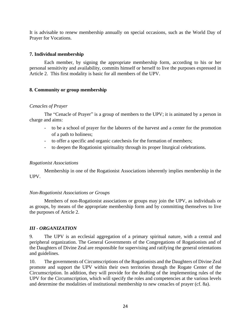It is advisable to renew membership annually on special occasions, such as the World Day of Prayer for Vocations.

#### **7. Individual membership**

Each member, by signing the appropriate membership form, according to his or her personal sensitivity and availability, commits himself or herself to live the purposes expressed in Article 2. This first modality is basic for all members of the UPV.

#### **8. Community or group membership**

#### *Cenacles of Prayer*

The "Cenacle of Prayer" is a group of members to the UPV; it is animated by a person in charge and aims:

- to be a school of prayer for the laborers of the harvest and a center for the promotion of a path to holiness;
- to offer a specific and organic catechesis for the formation of members;
- to deepen the Rogationist spirituality through its proper liturgical celebrations.

#### *Rogationist Associations*

Membership in one of the Rogationist Associations inherently implies membership in the UPV.

# *Non-Rogationist Associations or Groups*

Members of non-Rogationist associations or groups may join the UPV, as individuals or as groups, by means of the appropriate membership form and by committing themselves to live the purposes of Article 2.

# *III - ORGANIZATION*

9. The UPV is an ecclesial aggregation of a primary spiritual nature, with a central and peripheral organization. The General Governments of the Congregations of Rogationists and of the Daughters of Divine Zeal are responsible for supervising and ratifying the general orientations and guidelines.

10. The governments of Circumscriptions of the Rogationists and the Daughters of Divine Zeal promote and support the UPV within their own territories through the Rogate Center of the Circumscription. In addition, they will provide for the drafting of the implementing rules of the UPV for the Circumscription, which will specify the roles and competencies at the various levels and determine the modalities of institutional membership to new cenacles of prayer (cf. 8a).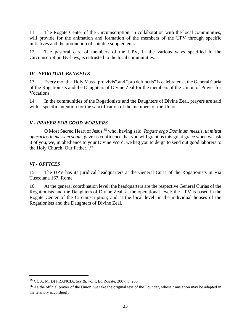11. The Rogate Center of the Circumscription, in collaboration with the local communities, will provide for the animation and formation of the members of the UPV through specific initiatives and the production of suitable supplements.

12. The pastoral care of members of the UPV, in the various ways specified in the Circumscription By-laws, is entrusted to the local communities.

# *IV - SPIRITUAL BENEFITS*

13. Every month a Holy Mass "pro vivis" and "pro defunctis" is celebrated at the General Curia of the Rogationists and the Daughters of Divine Zeal for the members of the Union of Prayer for Vocations.

14. In the communities of the Rogationists and the Daughters of Divine Zeal, prayers are said with a specific intention for the sanctification of the members of the Union.

# *V - PRAYER FOR GOOD WORKERS*

O Most Sacred Heart of Jesus, <sup>65</sup> who, having said: *Rogate ergo Dominum messis, ut mittat operarios in messem suam,* gave us confidence that you will grant us this great grace when we ask it of you, we, in obedience to your Divine Word, we beg you to deign to send out good laborers to the Holy Church. Our Father...<sup>66</sup>

# *VI - OFFICES*

15. The UPV has its juridical headquarters at the General Curia of the Rogationists in Via Tuscolana 167, Rome.

16. At the general coordination level: the headquarters are the respective General Curias of the Rogationists and the Daughters of Divine Zeal; at the operational level: the UPV is based in the Rogate Center of the Circumscription; and at the local level: in the individual houses of the Rogationists and the Daughters of Divine Zeal.

<sup>65</sup> Cf. A. M. DI FRANCIA, *Scritti*, vol I, Ed Rogate, 2007, p. 266.

<sup>&</sup>lt;sup>66</sup> As the official prayer of the Union, we take the original text of the Founder, whose translation may be adapted in the territory accordingly.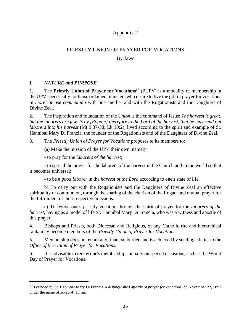# Appendix 2

# PRIESTLY UNION OF PRAYER FOR VOCATIONS

By-laws

# *I. NATURE and PURPOSE*

1. The **Priestly Union of Prayer for Vocations**<sup>67</sup> (PUPV) is a modality of membership in the UPV specifically for those ordained ministers who desire to live the gift of prayer for vocations in *more intense communion* with one another and with the Rogationists and the Daughters of Divine Zeal.

2. The inspiration and foundation of the *Union* is the command of Jesus: *The harvest is great, but the laborers are few. Pray [Rogate] therefore to the Lord of the harvest, that he may send out laborers into his harvest* (Mt 9:37-38; Lk 10:2), lived according to the spirit and example of St. Hannibal Mary Di Francia, the founder of the Rogationists and of the Daughters of Divine Zeal.

3. The *Priestly Union of Prayer for Vocations* proposes to its members to:

(a) Make the mission of the UPV their own, namely:

- to pray for the *laborers of the harvest*;

- to spread the prayer for the laborers of the harvest in the Church and in the world so that it becomes universal;

- to be a *good laborer* in the *harvest of the Lord* according to one's state of life.

b) To carry out with the Rogationists and the Daughters of Divine Zeal an effective spirituality of communion, through the sharing of the charism of the Rogate and mutual prayer for the fulfillment of their respective missions.

c) To revive one's priestly vocation through the spirit of prayer for the *laborers of the harvest*, having as a model of life St. Hannibal Mary Di Francia, who was a witness and apostle of this prayer.

4. Bishops and Priests, both Diocesan and Religious, of any Catholic rite and hierarchical rank, may become members of the *Priestly Union of Prayer for Vocations*.

5. Membership does not entail any financial burden and is achieved by sending a letter to the *Office of the Union of Prayer for Vocations*.

6. It is advisable to renew one's membership annually on special occasions, such as the World Day of Prayer for Vocations.

<sup>67</sup> Founded by St. Hannibal Mary Di Francia, a *distinguished apostle of prayer for vocations*, on November 22, 1897 under the name of *Sacra Alleanza*.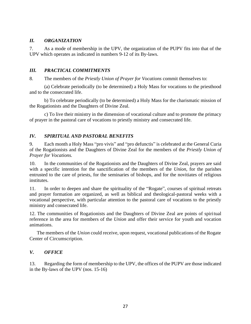#### *II. ORGANIZATION*

7. As a mode of membership in the UPV, the organization of the PUPV fits into that of the UPV which operates as indicated in numbers 9-12 of its By-laws.

#### *III. PRACTICAL COMMITMENTS*

8. The members of the *Priestly Union of Prayer for Vocations* commit themselves to:

(a) Celebrate periodically (to be determined) a Holy Mass for vocations to the priesthood and to the consecrated life.

b) To celebrate periodically (to be determined) a Holy Mass for the charismatic mission of the Rogationists and the Daughters of Divine Zeal.

c) To live their ministry in the dimension of vocational culture and to promote the primacy of prayer in the pastoral care of vocations to priestly ministry and consecrated life.

# *IV. SPIRITUAL AND PASTORAL BENEFITS*

9. Each month a Holy Mass "pro vivis" and "pro defunctis" is celebrated at the General Curia of the Rogationists and the Daughters of Divine Zeal for the members of the *Priestly Union of Prayer for Vocations.*

10. In the communities of the Rogationists and the Daughters of Divine Zeal, prayers are said with a specific intention for the sanctification of the members of the *Union*, for the parishes entrusted to the care of priests, for the seminaries of bishops, and for the novitiates of religious institutes.

11. In order to deepen and share the spirituality of the "Rogate", courses of spiritual retreats and prayer formation are organized, as well as biblical and theological-pastoral weeks with a vocational perspective, with particular attention to the pastoral care of vocations to the priestly ministry and consecrated life.

12. The communities of Rogationists and the Daughters of Divine Zeal are points of spiritual reference in the area for members of the *Union* and offer their service for youth and vocation animations.

The members of the *Union* could receive, upon request, vocational publications of the Rogate Center of Circumscription.

# *V. OFFICE*

13. Regarding the form of membership to the UPV, the offices of the PUPV are those indicated in the By-laws of the UPV (nos. 15-16)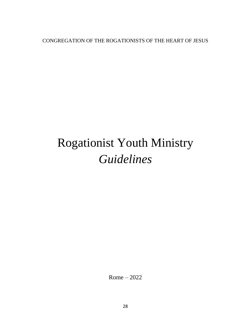CONGREGATION OF THE ROGATIONISTS OF THE HEART OF JESUS

# Rogationist Youth Ministry *Guidelines*

Rome – 2022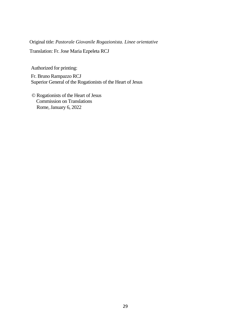Original title: *Pastorale Giovanile Rogazionista. Linee orientative*

Translation: Fr. Jose Maria Ezpeleta RCJ

Authorized for printing:

Fr. Bruno Rampazzo RCJ Superior General of the Rogationists of the Heart of Jesus

© Rogationists of the Heart of Jesus Commission on Translations Rome, January 6, 2022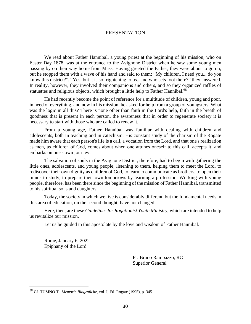#### PRESENTATION

We read about Father Hannibal, a young priest at the beginning of his mission, who on Easter Day 1878, was at the entrance to the Avignone District when he saw some young men passing by on their way home from Mass. Having greeted the Father, they were about to go on, but he stopped them with a wave of his hand and said to them: "My children, I need you... do you know this district?". "Yes, but it is so frightening to us...and who sets foot there?" they answered. In reality, however, they involved their companions and others, and so they organized raffles of statuettes and religious objects, which brought a little help to Father Hannibal.<sup>68</sup>

He had recently become the point of reference for a multitude of children, young and poor, in need of everything, and now in his mission, he asked for help from a group of youngsters. What was the logic in all this? There is none other than faith in the Lord's help, faith in the breath of goodness that is present in each person, the awareness that in order to regenerate society it is necessary to start with those who are called to renew it.

From a young age, Father Hannibal was familiar with dealing with children and adolescents, both in teaching and in catechism. His constant study of the charism of the Rogate made him aware that each person's life is a call, a vocation from the Lord, and that one's realization as men, as children of God, comes about when one attunes oneself to this call, accepts it, and embarks on one's own journey.

The salvation of souls in the Avignone District, therefore, had to begin with gathering the little ones, adolescents, and young people, listening to them, helping them to meet the Lord, to rediscover their own dignity as children of God, to learn to communicate as brothers, to open their minds to study, to prepare their own tomorrows by learning a profession. Working with young people, therefore, has been there since the beginning of the mission of Father Hannibal, transmitted to his spiritual sons and daughters.

Today, the society in which we live is considerably different, but the fundamental needs in this area of education, on the second thought, have not changed.

Here, then, are these *Guidelines for Rogationist Youth Ministry*, which are intended to help us revitalize our mission.

Let us be guided in this apostolate by the love and wisdom of Father Hannibal.

Rome, January 6, 2022 Epiphany of the Lord

> Fr. Bruno Rampazzo, RCJ Superior General

<sup>68</sup> Cf. TUSINO T., *Memorie Biografiche*, vol. I, Ed. Rogate (1995), p. 345.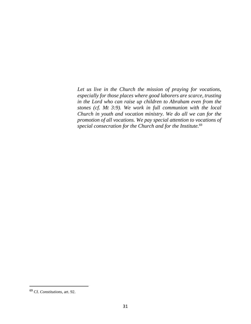*Let us live in the Church the mission of praying for vocations, especially for those places where good laborers are scarce, trusting in the Lord who can raise up children to Abraham even from the stones (cf. Mt 3:9). We work in full communion with the local Church in youth and vocation ministry. We do all we can for the promotion of all vocations. We pay special attention to vocations of special consecration for the Church and for the Institute.* 69

<sup>69</sup> Cf. *Constitutions*, art. 92.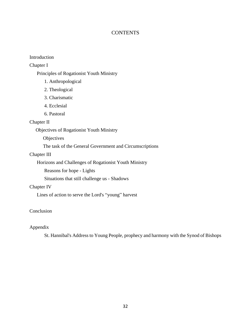# **CONTENTS**

#### Introduction

Chapter I

Principles of Rogationist Youth Ministry

- 1. Anthropological
- 2. Theological
- 3. Charismatic
- 4. Ecclesial
- 6. Pastoral

# Chapter II

Objectives of Rogationist Youth Ministry

**Objectives** 

The task of the General Government and Circumscriptions

#### Chapter III

Horizons and Challenges of Rogationist Youth Ministry

Reasons for hope - Lights

Situations that still challenge us - Shadows

#### Chapter IV

Lines of action to serve the Lord's "young" harvest

#### Conclusion

#### Appendix

St. Hannibal's Address to Young People, prophecy and harmony with the Synod of Bishops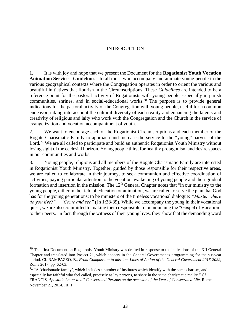#### INTRODUCTION

1. It is with joy and hope that we present the Document for the **Rogationist Youth Vocation Animation Service - Guidelines** - to all those who accompany and animate young people in the various geographical contexts where the Congregation operates in order to orient the various and beautiful initiatives that flourish in the Circumscriptions. These *Guidelines* are intended to be a reference point for the pastoral activity of Rogationists with young people, especially in parish communities, shrines, and in social-educational works.<sup>70</sup> The purpose is to provide general indications for the pastoral activity of the Congregation with young people, useful for a common endeavor, taking into account the cultural diversity of each reality and enhancing the talents and creativity of religious and laity who work with the Congregation and the Church in the service of evangelization and vocation accompaniment of youth.

2. We want to encourage each of the Rogationist Circumscriptions and each member of the Rogate Charismatic Family to approach and increase the service to the "young" harvest of the Lord.<sup>71</sup> We are all called to participate and build an authentic Rogationist Youth Ministry without losing sight of the ecclesial horizon. Young people thirst for healthy protagonism and desire spaces in our communities and works.

3. Young people, religious and all members of the Rogate Charismatic Family are interested in Rogationist Youth Ministry. Together, guided by those responsible for their respective areas, we are called to collaborate in their journey, to seek communion and effective coordination of activities, paying particular attention to the vocation awakening of young people and their gradual formation and insertion in the mission. The 12<sup>th</sup> General Chapter notes that "in our ministry to the young people, either in the field of education or animation, we are called to serve the plan that God has for the young generations; to be ministers of the timeless vocational dialogue: *"Master where do you live?" – "Come and see"* (Jn 1:38-39). While we accompany the young in their vocational quest, we are also committed to making them responsible for announcing the "Gospel of Vocation" to their peers. In fact, through the witness of their young lives, they show that the demanding word

<sup>&</sup>lt;sup>70</sup> This first Document on Rogationist Youth Ministry was drafted in response to the indications of the XII General Chapter and translated into Project 21, which appears in the General Government's programming for the six-year period. Cf. RAMPAZZO, B., *From Compassion to mission. Lines of Action of the General Government 2016-2022,*  Rome 2017, pp. 62-63.

<sup>&</sup>lt;sup>71</sup> "A 'charismatic family', which includes a number of Institutes which identify with the same charism, and especially lay faithful who feel called, precisely as lay persons, to share in the same charismatic reality." Cf. FRANCIS, *Apostolic Letter to all Consecrated Persons on the occasion of the Year of Consecrated Life*, Rome November 21, 2014, III, 1.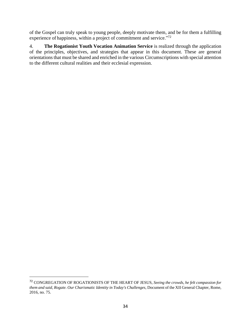of the Gospel can truly speak to young people, deeply motivate them, and be for them a fulfilling experience of happiness, within a project of commitment and service."<sup>72</sup>

4. **The Rogationist Youth Vocation Animation Service** is realized through the application of the principles, objectives, and strategies that appear in this document. These are general orientations that must be shared and enriched in the various Circumscriptions with special attention to the different cultural realities and their ecclesial expression.

<sup>72</sup> CONGREGATION OF ROGATIONISTS OF THE HEART OF JESUS, *Seeing the crowds, he felt compassion for them and said, Rogate. Our Charismatic Identity in Today's Challenges*, Document of the XII General Chapter, Rome, 2016, no. 75.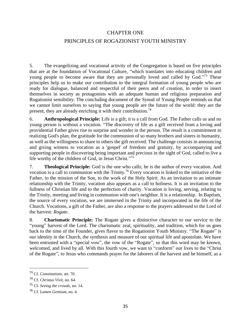#### CHAPTER ONE

# PRINCIPLES OF ROGAZIONIST YOUTH MINISTRY

5. The evangelizing and vocational activity of the Congregation is based on five principles that are at the foundation of Vocational Culture, "which translates into educating children and young people to become aware that they are personally loved and called by God."<sup>73</sup> These principles help us to make our contribution to the integral formation of young people who are ready for dialogue, balanced and respectful of their peers and of creation, in order to insert themselves in society as protagonists with an adequate human and religious preparation and Rogationist sensibility. The concluding document of the Synod of Young People reminds us that we cannot limit ourselves to saying that young people are the future of the world: they are the present, they are already enriching it with their contribution.<sup>74</sup>

6. **Anthropological Principle:** Life is a gift; it is a call from God. The Father calls us and no young person is without a vocation. "The discovery of life as a gift received from a loving and providential Father gives rise to surprise and wonder in the person. The result is a commitment to realizing God's plan, the gratitude for the communion of so many brothers and sisters in humanity, as well as the willingness to share to others the gift received. The challenge consists in announcing and giving witness to vocation as a 'gospel' of freedom and gratuity, by accompanying and supporting people in discovering being important and precious in the sight of God, called to live a life worthy of the children of God, in Jesus Christ."<sup>75</sup>

7. **Theological Principle:** God is the one who calls; he is the author of every vocation. And vocation is a call to communion with the Trinity.<sup>76</sup> Every vocation is linked to the initiative of the Father, to the mission of the Son, to the work of the Holy Spirit. As an invitation to an intimate relationship with the Trinity, vocation also appears as a call to holiness. It is an invitation to the fullness of Christian life and to the perfection of charity. Vocation is loving, serving, relating to the Trinity, meeting and living in communion with one's neighbor. It is a relationship. In Baptism, the source of every vocation, we are immersed in the Trinity and incorporated in the life of the Church. Vocations, a gift of the Father, are also a response to the prayers addressed to the Lord of the harvest: *Rogate*.

8. **Charismatic Principle:** The Rogate gives a distinctive character to our service to the "young" harvest of the Lord. The charismatic zeal, spirituality, and tradition, which for us goes back to the time of the Founder, gives flavor to the Rogationist Youth Ministry. "The Rogate" is our identity in the Church, the synthesis and measure of our spiritual life and apostolate. We have been entrusted with a "special vow", the vow of the "Rogate", so that this word may be known, welcomed, and lived by all. With this fourth vow, we want to "conform" our lives to the "Christ of the Rogate", to Jesus who commands prayer for the laborers of the harvest and he himself, as a

<sup>73</sup> Cf. *Constitutions*, art. 70.

<sup>74</sup> Cf. *Christus Vivit,* no. 64.

<sup>75</sup> Cf. *Seeing the crowds*, no. 14.

<sup>76</sup> Cf. *Lumen Gentium,* no. 4.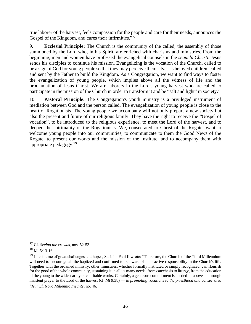true laborer of the harvest, feels compassion for the people and care for their needs, announces the Gospel of the Kingdom, and cures their infirmities.<sup>"77</sup>

9. **Ecclesial Principle:** The Church is the community of the called, the assembly of those summoned by the Lord who, in his Spirit, are enriched with charisms and ministries. From the beginning, men and women have professed the evangelical counsels in the *sequela Christi.* Jesus sends his disciples to continue his mission. Evangelizing is the vocation of the Church, called to be a sign of God for young people so that they may perceive themselves as beloved children, called and sent by the Father to build the Kingdom. As a Congregation, we want to find ways to foster the evangelization of young people, which implies above all the witness of life and the proclamation of Jesus Christ. We are laborers in the Lord's young harvest who are called to participate in the mission of the Church in order to transform it and be "salt and light" in society.<sup>78</sup>

10. **Pastoral Principle:** The Congregation's youth ministry is a privileged instrument of mediation between God and the person called. The evangelization of young people is close to the heart of Rogationists. The young people we accompany will not only prepare a new society but also the present and future of our religious family. They have the right to receive the "Gospel of vocation", to be introduced to the religious experience, to meet the Lord of the harvest, and to deepen the spirituality of the Rogationists. We, consecrated to Christ of the Rogate, want to welcome young people into our communities, to communicate to them the Good News of the Rogate, to present our works and the mission of the Institute, and to accompany them with appropriate pedagogy.<sup>79</sup>

<sup>77</sup> Cf. *Seeing the crowds*, nos. 52-53.

<sup>78</sup> Mt 5:13-16.

<sup>&</sup>lt;sup>79</sup> In this time of great challenges and hopes, St. John Paul II wrote: "Therefore, the Church of the Third Millennium will need to encourage all the baptized and confirmed to be aware of their active responsibility in the Church's life. Together with the ordained ministry, other ministries, whether formally instituted or simply recognized, can flourish for the good of the whole community, sustaining it in all its many needs: from catechesis to liturgy, from the education of the young to the widest array of charitable works. Certainly, a generous commitment is needed — above all through insistent prayer to the Lord of the harvest (cf. *Mt* 9:38) — in *promoting vocations to the priesthood and consecrated life*." Cf. *Novo Millennio Ineunte*, no. 46.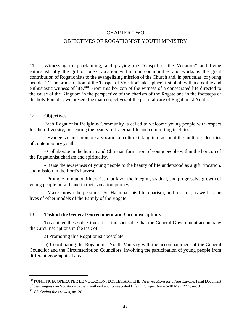#### CHAPTER TWO

#### OBJECTIVES OF ROGATIONIST YOUTH MINISTRY

11. Witnessing to, proclaiming, and praying the "Gospel of the Vocation" and living enthusiastically the gift of one's vocation within our communities and works is the great contribution of Rogationists to the evangelizing mission of the Church and, in particular, of young people.<sup>80</sup> "The proclamation of the 'Gospel of Vocation' takes place first of all with a credible and enthusiastic witness of life."<sup>81</sup> From this horizon of the witness of a consecrated life directed to the cause of the Kingdom in the perspective of the charism of the Rogate and in the footsteps of the holy Founder, we present the main objectives of the pastoral care of Rogationist Youth.

#### 12. **Objectives**:

Each Rogationist Religious Community is called to welcome young people with respect for their diversity, presenting the beauty of fraternal life and committing itself to:

- Evangelize and promote a vocational culture taking into account the multiple identities of contemporary youth.

- Collaborate in the human and Christian formation of young people within the horizon of the Rogationist charism and spirituality.

- Raise the awareness of young people to the beauty of life understood as a gift, vocation, and mission in the Lord's harvest.

- Promote formation itineraries that favor the integral, gradual, and progressive growth of young people in faith and in their vocation journey.

- Make known the person of St. Hannibal, his life, charism, and mission, as well as the lives of other models of the Family of the Rogate.

#### **13. Task of the General Government and Circumscriptions**

To achieve these objectives, it is indispensable that the General Government accompany the Circumscriptions in the task of

a) Promoting this Rogationist apostolate.

b) Coordinating the Rogationist Youth Ministry with the accompaniment of the General Councilor and the Circumscription Councilors, involving the participation of young people from different geographical areas.

<sup>80</sup> PONTIFICIA OPERA PER LE VOCAZIONI ECCLESIASTICHE, *New vocations for a New Europe*, Final Document of the Congress on Vocations to the Priesthood and Consecrated Life in Europe, Rome 5-10 May 1997, no. 31.

<sup>81</sup> Cf. *Seeing the crowds*, no. 20.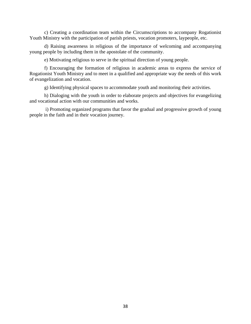c) Creating a coordination team within the Circumscriptions to accompany Rogationist Youth Ministry with the participation of parish priests, vocation promoters, laypeople, etc.

d) Raising awareness in religious of the importance of welcoming and accompanying young people by including them in the apostolate of the community.

e) Motivating religious to serve in the spiritual direction of young people.

f) Encouraging the formation of religious in academic areas to express the service of Rogationist Youth Ministry and to meet in a qualified and appropriate way the needs of this work of evangelization and vocation.

g) Identifying physical spaces to accommodate youth and monitoring their activities.

h) Dialoging with the youth in order to elaborate projects and objectives for evangelizing and vocational action with our communities and works.

i) Promoting organized programs that favor the gradual and progressive growth of young people in the faith and in their vocation journey.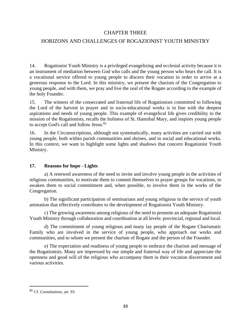#### CHAPTER THREE

# HORIZONS AND CHALLENGES OF ROGAZIONIST YOUTH MINISTRY

14. Rogationist Youth Ministry is a privileged evangelizing and ecclesial activity because it is an instrument of mediation between God who calls and the young person who hears the call. It is a vocational service offered to young people to discern their vocation in order to arrive at a generous response to the Lord. In this ministry, we present the charism of the Congregation to young people, and with them, we pray and live the zeal of the Rogate according to the example of the holy Founder.

15. The witness of the consecrated and fraternal life of Rogationists committed to following the Lord of the harvest in prayer and in socio-educational works is in line with the deepest aspirations and needs of young people. This example of evangelical life gives credibility to the mission of the Rogationists, recalls the holiness of St. Hannibal Mary, and inspires young people to accept God's call and follow Jesus.<sup>82</sup>

16. In the Circumscriptions, although not systematically, many activities are carried out with young people, both within parish communities and shrines, and in social and educational works. In this context, we want to highlight some lights and shadows that concern Rogationist Youth Ministry.

#### **17. Reasons for hope - Lights**

a) A renewed awareness of the need to invite and involve young people in the activities of religious communities, to motivate them to commit themselves to prayer groups for vocations, to awaken them to social commitment and, when possible, to involve them in the works of the Congregation.

b) The significant participation of seminarians and young religious in the service of youth animation that effectively contributes to the development of Rogationist Youth Ministry.

c) The growing awareness among religious of the need to promote an adequate Rogationist Youth Ministry through collaboration and coordination at all levels: provincial, regional and local.

d) The commitment of young religious and many lay people of the Rogate Charismatic Family who are involved in the service of young people, who approach our works and communities, and to whom we present the charism of Rogate and the person of the Founder.

e) The expectation and readiness of young people to embrace the charism and message of the Rogationists. Many are impressed by our simple and fraternal way of life and appreciate the openness and good will of the religious who accompany them in their vocation discernment and various activities.

<sup>82</sup> Cf. *Constitutions*, art. 93.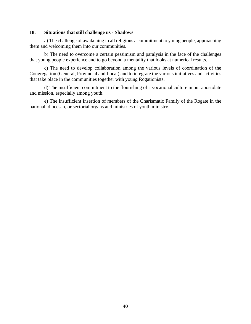#### **18. Situations that still challenge us - Shadows**

a) The challenge of awakening in all religious a commitment to young people, approaching them and welcoming them into our communities.

b) The need to overcome a certain pessimism and paralysis in the face of the challenges that young people experience and to go beyond a mentality that looks at numerical results.

c) The need to develop collaboration among the various levels of coordination of the Congregation (General, Provincial and Local) and to integrate the various initiatives and activities that take place in the communities together with young Rogationists.

d) The insufficient commitment to the flourishing of a vocational culture in our apostolate and mission, especially among youth.

e) The insufficient insertion of members of the Charismatic Family of the Rogate in the national, diocesan, or sectorial organs and ministries of youth ministry.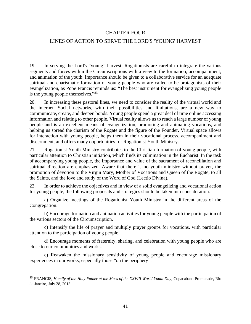#### CHAPTER FOUR

# LINES OF ACTION TO SERVE THE LORD'S 'YOUNG' HARVEST

19. In serving the Lord's "young" harvest, Rogationists are careful to integrate the various segments and forces within the Circumscriptions with a view to the formation, accompaniment, and animation of the youth. Importance should be given to a collaborative service for an adequate spiritual and charismatic formation of young people who are called to be protagonists of their evangelization, as Pope Francis reminds us: "The best instrument for evangelizing young people is the young people themselves."<sup>83</sup>

20. In increasing these pastoral lines, we need to consider the reality of the virtual world and the internet. Social networks, with their possibilities and limitations, are a new way to communicate, create, and deepen bonds. Young people spend a great deal of time online accessing information and relating to other people. Virtual reality allows us to reach a large number of young people and is an excellent means of evangelization, promoting and animating vocations, and helping us spread the charism of the Rogate and the figure of the Founder. Virtual space allows for interaction with young people, helps them in their vocational process, accompaniment and discernment, and offers many opportunities for Rogationist Youth Ministry.

21. Rogationist Youth Ministry contributes to the Christian formation of young people, with particular attention to Christian initiation, which finds its culmination in the Eucharist. In the task of accompanying young people, the importance and value of the sacrament of reconciliation and spiritual direction are emphasized. Aware that there is no youth ministry without prayer, the promotion of devotion to the Virgin Mary, Mother of Vocations and Queen of the Rogate, to all the Saints, and the love and study of the Word of God (Lectio Divina).

22. In order to achieve the objectives and in view of a solid evangelizing and vocational action for young people, the following proposals and strategies should be taken into consideration:

a) Organize meetings of the Rogationist Youth Ministry in the different areas of the Congregation.

b) Encourage formation and animation activities for young people with the participation of the various sectors of the Circumscription.

c) Intensify the life of prayer and multiply prayer groups for vocations, with particular attention to the participation of young people.

d) Encourage moments of fraternity, sharing, and celebration with young people who are close to our communities and works.

e) Reawaken the missionary sensitivity of young people and encourage missionary experiences in our works, especially those "on the periphery".

<sup>83</sup> FRANCIS, *Homily of the Holy Father at the Mass of the XXVIII World Youth Day*, Copacabana Promenade, Rio de Janeiro, July 28, 2013.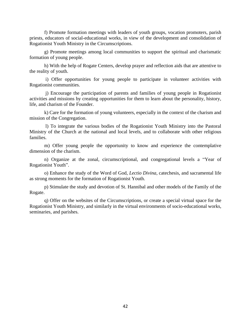f) Promote formation meetings with leaders of youth groups, vocation promoters, parish priests, educators of social-educational works, in view of the development and consolidation of Rogationist Youth Ministry in the Circumscriptions.

g) Promote meetings among local communities to support the spiritual and charismatic formation of young people.

h) With the help of Rogate Centers, develop prayer and reflection aids that are attentive to the reality of youth.

i) Offer opportunities for young people to participate in volunteer activities with Rogationist communities.

j) Encourage the participation of parents and families of young people in Rogationist activities and missions by creating opportunities for them to learn about the personality, history, life, and charism of the Founder.

k) Care for the formation of young volunteers, especially in the context of the charism and mission of the Congregation.

l) To integrate the various bodies of the Rogationist Youth Ministry into the Pastoral Ministry of the Church at the national and local levels, and to collaborate with other religious families.

 m) Offer young people the opportunity to know and experience the contemplative dimension of the charism.

n) Organize at the zonal, circumscriptional, and congregational levels a "Year of Rogationist Youth".

o) Enhance the study of the Word of God, *Lectio Divina*, catechesis, and sacramental life as strong moments for the formation of Rogationist Youth.

p) Stimulate the study and devotion of St. Hannibal and other models of the Family of the Rogate.

q) Offer on the websites of the Circumscriptions, or create a special virtual space for the Rogationist Youth Ministry, and similarly in the virtual environments of socio-educational works, seminaries, and parishes.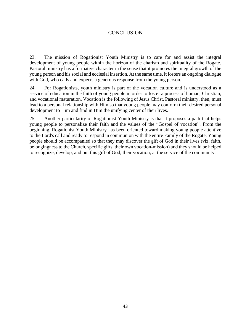# **CONCLUSION**

23. The mission of Rogationist Youth Ministry is to care for and assist the integral development of young people within the horizon of the charism and spirituality of the Rogate. Pastoral ministry has a formative character in the sense that it promotes the integral growth of the young person and his social and ecclesial insertion. At the same time, it fosters an ongoing dialogue with God, who calls and expects a generous response from the young person.

24. For Rogationists, youth ministry is part of the vocation culture and is understood as a service of education in the faith of young people in order to foster a process of human, Christian, and vocational maturation. Vocation is the following of Jesus Christ. Pastoral ministry, then, must lead to a personal relationship with Him so that young people may conform their desired personal development to Him and find in Him the unifying center of their lives.

25. Another particularity of Rogationist Youth Ministry is that it proposes a path that helps young people to personalize their faith and the values of the "Gospel of vocation". From the beginning, Rogationist Youth Ministry has been oriented toward making young people attentive to the Lord's call and ready to respond in communion with the entire Family of the Rogate. Young people should be accompanied so that they may discover the gift of God in their lives (viz. faith, belongingness to the Church, specific gifts, their own vocation-mission) and they should be helped to recognize, develop, and put this gift of God, their vocation, at the service of the community.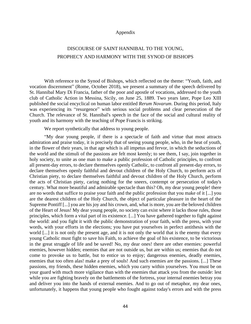#### Appendix

# DISCOURSE OF SAINT HANNIBAL TO THE YOUNG, PROPHECY AND HARMONY WITH THE SYNOD OF BISHOPS

With reference to the Synod of Bishops, which reflected on the theme: "Youth, faith, and vocation discernment" (Rome, October 2018), we present a summary of the speech delivered by St. Hannibal Mary Di Francia, father of the poor and apostle of vocations, addressed to the youth club of Catholic Action in Messina, Sicily, on June 25, 1889. Two years later, Pope Leo XIII published the social encyclical on human labor entitled *Rerum Novarum*. During this period, Italy was experiencing its "resurgence" with serious social problems and clear persecution of the Church. The relevance of St. Hannibal's speech in the face of the social and cultural reality of youth and its harmony with the teaching of Pope Francis is striking.

We report synthetically that address to young people.

"My dear young people, if there is a spectacle of faith and virtue that most attracts admiration and praise today, it is precisely that of seeing young people, who, in the heat of youth, in the flower of their years, in that age which is all impetus and fervor, in which the seductions of the world and the stimuli of the passions are felt most keenly; to see them, I say, join together in holy society, to unite as one man to make a public profession of Catholic principles, to confront all present-day errors, to declare themselves openly Catholic, to confront all present-day errors, to declare themselves openly faithful and devout children of the Holy Church, to perform acts of Christian piety, to declare themselves faithful and devout children of the Holy Church, perform the acts of Christian piety, caring nothing for the sneers, contempt or persecution of today's century. What more beautiful and admirable spectacle than this? Oh, my dear young people! there are no words that suffice to praise your faith and the public profession that you make of it [...] you are the dearest children of the Holy Church, the object of particular pleasure in the heart of the Supreme Pontiff [...] you are his joy and his crown, and, what is more, you are the beloved children of the Heart of Jesus! My dear young people, no society can exist where it lacks those rules, those principles, which form a vital part of its existence. [...] You have gathered together to fight against the world: and you fight it with the public demonstration of your faith, with the press, with your words, with your efforts in the elections; you have put yourselves in perfect antithesis with the world [...] it is not only the present age, and it is not only the world that is the enemy that every young Catholic must fight to save his Faith, to achieve the goal of his existence, to be victorious in the great struggle of life and be saved! No, my dear ones! there are other enemies: powerful enemies, however hidden; enemies that are not outside us, but are within us; enemies that do not come to provoke us to battle, but to entice us to enjoy; dangerous enemies, deadly enemies, enemies that too often alas! make a prey of souls! And such enemies are the passions. [...] These passions, my friends, these hidden enemies, which you carry within yourselves. You must be on your guard with much more vigilance than with the enemies that attack you from the outside: lest while you are fighting bravely on the battlements of the fortress, your internal enemies betray you and deliver you into the hands of external enemies. And to go out of metaphor, my dear ones, unfortunately, it happens that young people who fought against today's errors and with the press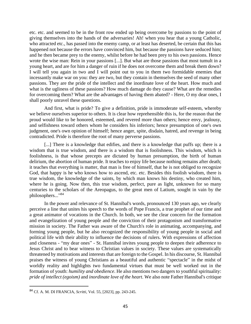etc. etc. and seemed to be in the front row ended up being overcome by passions to the point of giving themselves into the hands of the adversaries! Ah! when you hear that a young Catholic, who attracted etc., has passed into the enemy camp, or at least has deserted, be certain that this has happened not because the errors have convinced him, but because the passions have seduced him; and he then became prey to the enemy, whilst before he had been prey to his own passions. Hence wrote the wise man: Rein in your passions [...]. But what are those passions that most tumult in a young heart, and are for him a danger of ruin if he does not overcome them and break them down? I will tell you again in two and I will point out to you in them two formidable enemies that incessantly make war on you: they are two, but they contain in themselves the seed of many other passions. They are the pride of the intellect and the inordinate love of the heart. How much and what is the ugliness of these passions? How much damage do they cause? What are the remedies for overcoming them? What are the advantages of having them abated? - Here, O my dear ones, I shall poorly unravel these questions.

And first, what is pride? To give a definition, pride is immoderate self-esteem, whereby we believe ourselves superior to others. It is clear how reprehensible this is, for the reason that the proud would like to be honored, esteemed, and revered more than others; hence envy, jealousy, and selfishness toward others whom he considers his inferiors; hence presumption of one's own judgment, one's own opinion of himself; hence anger, spite, disdain, hatred, and revenge in being contradicted. Pride is therefore the root of many perverse passions.

[...] There is a knowledge that edifies, and there is a knowledge that puffs up; there is a wisdom that is true wisdom, and there is a wisdom that is foolishness. This wisdom, which is foolishness, is that whose precepts are dictated by human presumption, the birth of human delirium, the abortion of human pride. It teaches to enjoy life because nothing remains after death; it teaches that everything is matter, that man is free of himself, that he is not obliged to recognize God, that happy is he who knows how to ascend, etc. etc. Besides this foolish wisdom, there is true wisdom, the knowledge of the saints, by which man knows his destiny, who created him, where he is going. Now then, this true wisdom, perfect, pure as light, unknown for so many centuries to the scholars of the Areopagus, to the great men of Latium, sought in vain by the philosophers..."<sup>84</sup>

In the power and relevance of St. Hannibal's words, pronounced 130 years ago, we clearly perceive a line that unites his speech to the words of Pope Francis, a true prophet of our time and a great animator of vocations in the Church. In both, we see the clear concern for the formation and evangelization of young people and the conviction of their protagonism and transformative mission in society. The Father was aware of the Church's role in animating, accompanying, and forming young people, but he also recognized the responsibility of young people in social and political life with their ability to influence the decisions of rulers. With expressions of affection and closeness - "my dear ones" - St. Hannibal invites young people to deepen their adherence to Jesus Christ and to bear witness to Christian values in society. These values are systematically threatened by motivations and interests that are foreign to the Gospel. In his discourse, St. Hannibal praises the witness of young Christians as a beautiful and authentic "spectacle" in the midst of worldly reality and highlights two fundamental virtues that must be well worked out in the formation of youth: *humility and obedience*. He also mentions two dangers to youthful spirituality: *pride of intellect (egoism)* and *inordinate love of the heart*. We also note Father Hannibal's critique

<sup>84</sup> Cf. A. M. DI FRANCIA, *Scritti*, Vol. 55, [2023], pp. 243-245.